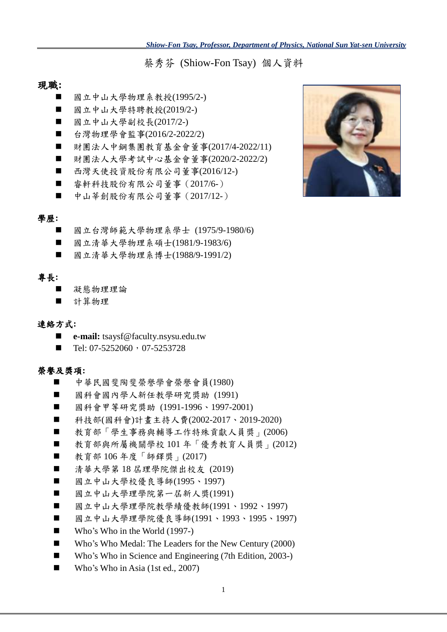蔡秀芬 (Shiow-Fon Tsay) 個人資料

### 現職**:**

- 國立中山大學物理系教授(1995/2-)
- 國立中山大學特聘教授(2019/2-)
- 國立中山大學副校長(2017/2-)
- 台灣物理學會監事(2016/2-2022/2)
- 財團法人中鋼集團教育基金會董事(2017/4-2022/11)
- 財團法人大學考試中心基金會董事(2020/2-2022/2)
- 西灣天使投資股份有限公司董事(2016/12-)
- 睿軒科技股份有限公司董事 (2017/6-)
- 中山莘創股份有限公司董事 (2017/12-)

#### 學歷**:**

- 國立台灣師範大學物理系學士 (1975/9-1980/6)
- 國立清華大學物理系碩士(1981/9-1983/6)
- 國立清華大學物理系博士(1988/9-1991/2)

#### 專長**:**

- 凝態物理理論
- 計算物理

#### 連絡方式**:**

- **e-mail:** tsaysf@faculty.nsysu.edu.tw
- $\blacksquare$  Tel: 07-5252060, 07-5253728

#### 榮譽及獎項**:**

- 中華民國斐陶斐榮譽學會榮譽會員(1980)
- 國科會國內學人新任教學研究獎助 (1991)
- 國科會甲等研究獎助 (1991-1996、1997-2001)
- 科技部(國科會)計畫主持人費(2002-2017、2019-2020)
- 教育部「學生事務與輔導工作特殊貢獻人員獎」(2006)
- 教育部與所屬機關學校 101年「優秀教育人員獎」(2012)
- 教育部 106年度「師鐸獎」(2017)
- 清華大學第18 屆理學院傑出校友 (2019)
- 國立中山大學校優良導師(1995、1997)
- 國立中山大學理學院第一屆新人獎(1991)
- 國立中山大學理學院教學績優教師(1991、1992、1997)
- 國立中山大學理學院優良導師(1991、1993、1995、1997)
- Who's Who in the World (1997-)
- Who's Who Medal: The Leaders for the New Century (2000)
- Who's Who in Science and Engineering (7th Edition, 2003-)
- Who's Who in Asia (1st ed., 2007)

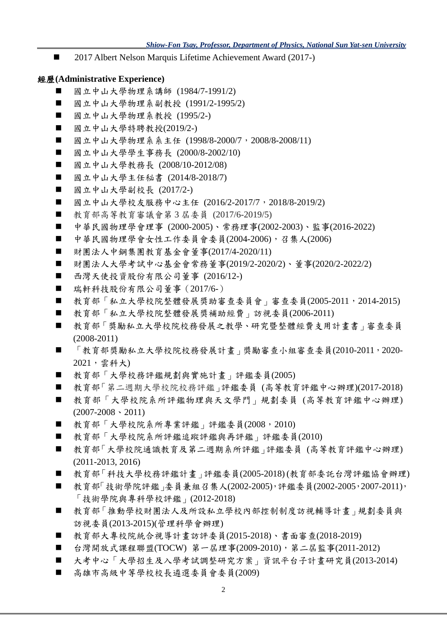■ 2017 Albert Nelson Marquis Lifetime Achievement Award (2017-)

#### 經歷**(Administrative Experience)**

- 國立中山大學物理系講師 (1984/7-1991/2)
- 國立中山大學物理系副教授 (1991/2-1995/2)
- 國立中山大學物理系教授 (1995/2-)
- 國立中山大學特聘教授(2019/2-)
- 國立中山大學物理系系主任 (1998/8-2000/7, 2008/8-2008/11)
- 國立中山大學學生事務長 (2000/8-2002/10)
- 國立中山大學教務長 (2008/10-2012/08)
- 國立中山大學主任秘書 (2014/8-2018/7)
- 國立中山大學副校長 (2017/2-)
- 國立中山大學校友服務中心主任 (2016/2-2017/7,2018/8-2019/2)
- 教育部高等教育審議會第 3 屆委員 (2017/6-2019/5)
- 中華民國物理學會理事 (2000-2005)、常務理事(2002-2003)、監事(2016-2022)
- 中華民國物理學會女性工作委員會委員(2004-2006),召集人(2006)
- 財團法人中鋼集團教育基金會董事(2017/4-2020/11)
- 財團法人大學考試中心基金會常務董事(2019/2-2020/2)、董事(2020/2-2022/2)
- 西灣天使投資股份有限公司董事 (2016/12-)
- 瑞軒科技股份有限公司董事 (2017/6-)
- 教育部「私立大學校院整體發展獎助審查委員會」審查委員(2005-2011,2014-2015)
- 教育部「私立大學校院整體發展獎補助經費」訪視委員(2006-2011)
- 教育部「獎勵私立大學校院校務發展之教學、研究暨整體經費支用計畫書」審查委員 (2008-2011)
- 「教育部獎勵私立大學校院校務發展計書」獎勵審查小組審查委員(2010-2011,2020-2021,雲科大)
- 教育部「大學校務評鑑規劃與實施計畫」評鑑委員(2005)
- 教育部「第二週期大學校院校務評鑑」評鑑委員 (高等教育評鑑中心辦理)(2017-2018)
- 教育部「大學校院系所評鑑物理與天文學門」規劃委員(高等教育評鑑中心辦理)  $(2007-2008 \cdot 2011)$
- 教育部「大學校院系所專業評鑑」評鑑委員(2008,2010)
- 教育部「大學校院系所評鑑追蹤評鑑與再評鑑」評鑑委員(2010)
- 教育部「大學校院通識教育及第二週期系所評鑑」評鑑委員 (高等教育評鑑中心辦理) (2011-2013, 2016)
- 教育部「科技大學校務評鑑計書」評鑑委員(2005-2018) (教育部委託台灣評鑑協會辦理)
- 教育部「技術學院評鑑」委員兼組召集人(2002-2005),評鑑委員(2002-2005,2007-2011), 「技術學院與專科學校評鑑」(2012-2018)
- 教育部「推動學校財團法人及所設私立學校內部控制制度訪視輔導計畫」規劃委員與 訪視委員(2013-2015)(管理科學會辦理)
- 教育部大專校院統合視導計畫訪評委員(2015-2018)、書面審查(2018-2019)
- 台灣開放式課程聯盟(TOCW) 第一屆理事(2009-2010), 第二屆監事(2011-2012)
- 大考中心「大學招生及入學考試調整研究方案」資訊平台子計畫研究員(2013-2014)
- 高雄市高級中等學校校長遴選委員會委員(2009)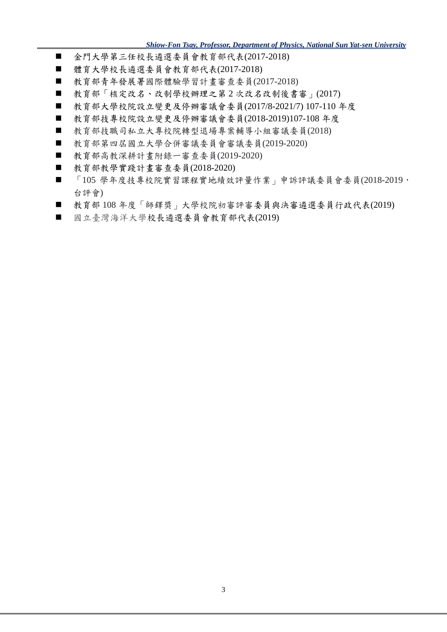*Shiow-Fon Tsay, Professor, Department of Physics, National Sun Yat-sen University*

- 金門大學第三任校長遴選季員會教育部代表(2017-2018)
- 體育大學校長遴選委員會教育部代表(2017-2018)
- 教育部青年發展署國際體驗學習計書審查委員(2017-2018)
- 教育部「核定改名、改制學校辦理之第2次改名改制後書審」(2017)
- 教育部大學校院設立變更及停辦審議會委員(2017/8-2021/7) 107-110 年度
- 教育部技專校院設立變更及停辦審議會委員(2018-2019)107-108 年度
- 教育部技職司私立大專校院轉型退場專案輔導小組審議委員(2018)
- 教育部第四屆國立大學合併審議委員會審議委員(2019-2020)
- 教育部高教深耕計畫附錄一審查委員(2019-2020)
- 教育部教學實踐計畫審查委員(2018-2020)
- 「105 學年度技專校院實習課程實地績效評量作業」申訴評議委員會委員(2018-2019, 台評會)
- 教育部 108年度「師鐸獎」大學校院初審評審委員與決審遴選委員行政代表(2019)
- 國立臺灣海洋大學校長遴選委員會教育部代表(2019)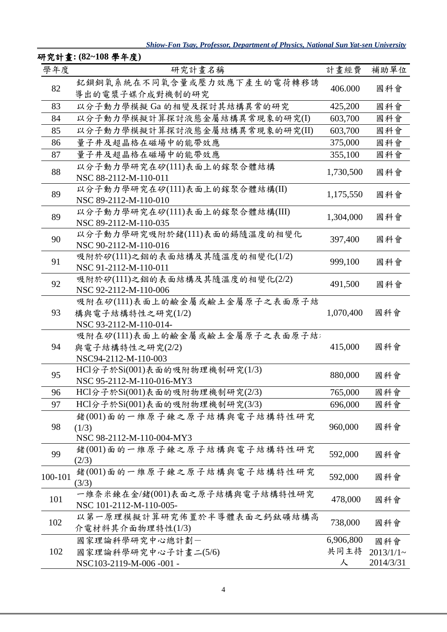*Shiow-Fon Tsay, Professor, Department of Physics, National Sun Yat-sen University*

| 學年度     | 研究計畫名稱                                                  | 計畫經費      | 補助單位         |
|---------|---------------------------------------------------------|-----------|--------------|
|         | 釔鋇銅氧系統在不同氧含量或壓力效應下產生的電荷轉移誘                              |           |              |
| 82      | 導出的電漿子媒介成對機制的研究                                         | 406.000   | 國科會          |
| 83      | 以分子動力學模擬 Ga 的相變及探討其結構異常的研究                              | 425,200   | 國科會          |
| 84      | 以分子動力學模擬計算探討液態金屬結構異常現象的研究(I)                            | 603,700   | 國科會          |
| 85      | 以分子動力學模擬計算探討液態金屬結構異常現象的研究(II)                           | 603,700   | 國科會          |
| 86      | 量子井及超晶格在磁場中的能帶效應                                        | 375,000   | 國科會          |
| 87      | 量子井及超晶格在磁場中的能帶效應                                        | 355,100   | 國科會          |
|         | 以分子動力學研究在矽(111)表面上的鎵聚合體結構                               |           |              |
| 88      | NSC 88-2112-M-110-011                                   | 1,730,500 | 國科會          |
| 89      | 以分子動力學研究在矽(111)表面上的鎵聚合體結構(II)                           | 1,175,550 | 國科會          |
|         | NSC 89-2112-M-110-010                                   |           |              |
| 89      | 以分子動力學研究在矽(111)表面上的鎵聚合體結構(III)                          | 1,304,000 | 國科會          |
|         | NSC 89-2112-M-110-035                                   |           |              |
| 90      | 以分子動力學研究吸附於鍺(111)表面的錫隨溫度的相變化                            | 397,400   | 國科會          |
|         | NSC 90-2112-M-110-016                                   |           |              |
| 91      | 吸附於矽(111)之銦的表面結構及其隨溫度的相變化(1/2)                          | 999,100   | 國科會          |
|         | NSC 91-2112-M-110-011                                   |           |              |
| 92      | 吸附於矽(111)之銦的表面結構及其隨溫度的相變化(2/2)<br>NSC 92-2112-M-110-006 | 491,500   | 國科會          |
| 93      | 吸附在矽(111)表面上的鹼金屬或鹼土金屬原子之表面原子結                           |           |              |
|         | 構與電子結構特性之研究(1/2)                                        | 1,070,400 | 國科會          |
|         | NSC 93-2112-M-110-014-                                  |           |              |
|         | 吸附在矽(111)表面上的鹼金屬或鹼土金屬原子之表面原子結;                          |           |              |
| 94      | 與電子結構特性之研究(2/2)                                         | 415,000   | 國科會          |
|         | NSC94-2112-M-110-003                                    |           |              |
|         | HCl分子於Si(001)表面的吸附物理機制研究(1/3)                           | 880,000   | 國科會          |
| 95      | NSC 95-2112-M-110-016-MY3                               |           |              |
| 96      | HCl分子於Si(001)表面的吸附物理機制研究(2/3)                           | 765,000   | 國科會          |
| 97      | HCl分子於Si(001)表面的吸附物理機制研究(3/3)                           | 696,000   | 國科會          |
|         | 鍺(001)面的一維原子鍊之原子結構與電子結構特性研究                             |           |              |
| 98      | (1/3)                                                   | 960,000   | 國科會          |
|         | NSC 98-2112-M-110-004-MY3                               |           |              |
| 99      | 鍺(001)面的一維原子鍊之原子結構與電子結構特性研究                             | 592,000   | 國科會          |
|         | (2/3)                                                   |           |              |
| 100-101 | 鍺(001)面的一維原子鍊之原子結構與電子結構特性研究                             | 592,000   | 國科會          |
|         | (3/3)<br>一維奈米鍊在金/鍺(001)表面之原子結構與電子結構特性研究                 |           |              |
| 101     | NSC 101-2112-M-110-005-                                 | 478,000   | 國科會          |
| 102     | 以第一原理模擬計算研究佈置於半導體表面之鈣鈦礦結構高                              |           | 國科會          |
|         | 介電材料其介面物理特性(1/3)                                        | 738,000   |              |
|         | 國家理論科學研究中心總計劃一                                          | 6,906,800 | 國科會          |
| 102     | 國家理論科學研究中心子計畫二(5/6)                                     | 共同主持      | $2013/1/1$ ~ |
|         | NSC103-2119-M-006-001-                                  | 人         | 2014/3/31    |
|         |                                                         |           |              |

# 研究計畫**: (82~108** 學年度**)**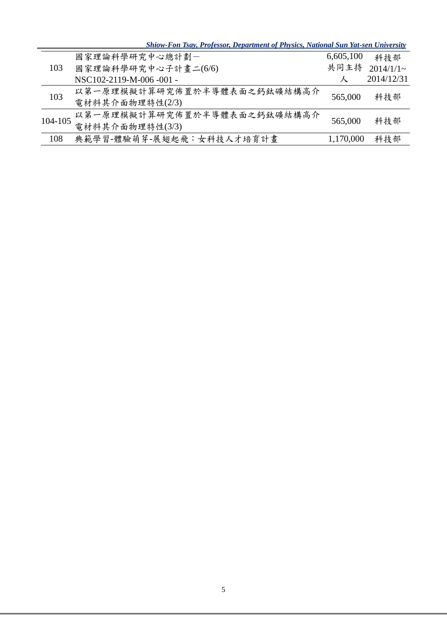| <b>Shiow-Fon Tsay, Professor, Department of Physics, National Sun Yat-sen University</b> |  |  |  |  |  |
|------------------------------------------------------------------------------------------|--|--|--|--|--|
|                                                                                          |  |  |  |  |  |
|                                                                                          |  |  |  |  |  |

| 103     | 國家理論科學研究中心總計劃一              | 6,605,100 | 科技部          |
|---------|-----------------------------|-----------|--------------|
|         | 國家理論科學研究中心子計畫二(6/6)         | 共同主持      | $2014/1/1$ ~ |
|         | NSC102-2119-M-006-001-      |           | 2014/12/31   |
| 103     | 以第一原理模擬計算研究佈置於半導體表面之鈣鈦礦結構高介 | 565,000   | 科技部          |
|         | 電材料其介面物理特性(2/3)             |           |              |
| 104-105 | 以第一原理模擬計算研究佈置於半導體表面之鈣鈦礦結構高介 |           | 科技部          |
|         | 電材料其介面物理特性(3/3)             | 565,000   |              |
| 108     | 典範學習-體驗萌芽-展翅起飛:女科技人才培育計畫    | 1,170,000 | 科技部          |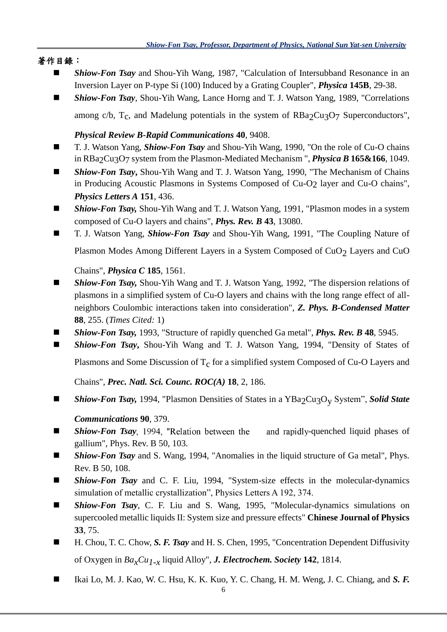### 著作目錄:

- *Shiow-Fon Tsay* and Shou-Yih Wang, 1987, "Calculation of Intersubband Resonance in an Inversion Layer on P-type Si (100) Induced by a Grating Coupler", *Physica* **145B**, 29-38.
- *Shiow-Fon Tsay*, Shou-Yih Wang, Lance Horng and T. J. Watson Yang, 1989, "Correlations among c/b,  $T_c$ , and Madelung potentials in the system of  $RBa_2Cu_3O_7$  Superconductors",

### *Physical Review B-Rapid Communications* **40**, 9408.

- T. J. Watson Yang, *Shiow-Fon Tsay* and Shou-Yih Wang, 1990, "On the role of Cu-O chains in RBa2Cu3O7 system from the Plasmon-Mediated Mechanism ", *Physica B* **165&166**, 1049.
- *Shiow-Fon Tsay***,** Shou-Yih Wang and T. J. Watson Yang, 1990, "The Mechanism of Chains in Producing Acoustic Plasmons in Systems Composed of Cu-O2 layer and Cu-O chains", *Physics Letters A* **151**, 436.
- *Shiow-Fon Tsay,* Shou-Yih Wang and T. J. Watson Yang, 1991, "Plasmon modes in a system composed of Cu-O layers and chains", *Phys. Rev. B* **43**, 13080.
- T. J. Watson Yang, *Shiow-Fon Tsay* and Shou-Yih Wang, 1991, "The Coupling Nature of

Plasmon Modes Among Different Layers in a System Composed of CuO<sub>2</sub> Layers and CuO

Chains", *Physica C* **185**, 1561.

- *Shiow-Fon Tsay*, Shou-Yih Wang and T. J. Watson Yang, 1992, "The dispersion relations of plasmons in a simplified system of Cu-O layers and chains with the long range effect of allneighbors Coulombic interactions taken into consideration", *Z. Phys. B-Condensed Matter* **88**, 255. (*Times Cited:* 1)
- *Shiow-Fon Tsay,* 1993, "Structure of rapidly quenched Ga metal", *Phys. Rev. B* 48, 5945.
- *Shiow-Fon Tsay*, Shou-Yih Wang and T. J. Watson Yang, 1994, "Density of States of

Plasmons and Some Discussion of  $T_c$  for a simplified system Composed of Cu-O Layers and

Chains", *Prec. Natl. Sci. Counc. ROC(A)* **18**, 2, 186.

■ *Shiow-Fon Tsay,* 1994, "Plasmon Densities of States in a YBa<sub>2</sub>Cu<sub>3</sub>O<sub>v</sub> System", *Solid State* 

## *Communications* **90**, 379.

- **E** *Shiow-Fon Tsay*, 1994, "Relation between the and rapidly-quenched liquid phases of gallium", Phys. Rev. B 50, 103.
- *Shiow-Fon Tsay* and S. Wang, 1994, "Anomalies in the liquid structure of Ga metal", Phys. Rev. B 50, 108.
- *Shiow-Fon Tsay* and C. F. Liu, 1994, "System-size effects in the molecular-dynamics simulation of metallic crystallization", Physics Letters A 192, 374.
- **Shiow-Fon Tsay**, C. F. Liu and S. Wang, 1995, "Molecular-dynamics simulations on supercooled metallic liquids II: System size and pressure effects" **Chinese Journal of Physics 33**, 75.
- H. Chou, T. C. Chow, S. F. Tsay and H. S. Chen, 1995, "Concentration Dependent Diffusivity of Oxygen in *BaxCu1-x* liquid Alloy", *J. Electrochem. Society* **142**, 1814.
- Ikai Lo, M. J. Kao, W. C. Hsu, K. K. Kuo, Y. C. Chang, H. M. Weng, J. C. Chiang, and *S. F.*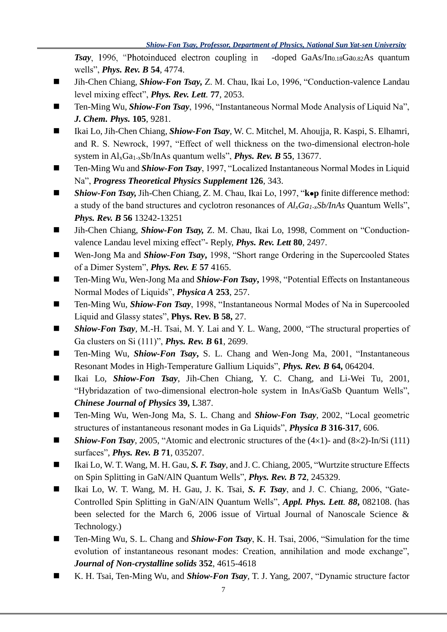**Tsay**, 1996, "Photoinduced electron coupling in -doped GaAs/In<sub>0.18</sub>Ga<sub>0.82</sub>As quantum wells", *Phys. Rev. B* **54**, 4774.

- Jih-Chen Chiang, *Shiow-Fon Tsay,* Z. M. Chau, Ikai Lo, 1996, "Conduction-valence Landau level mixing effect", *Phys. Rev. Lett.* **77**, 2053.
- Ten-Ming Wu, *Shiow-Fon Tsay*, 1996, "Instantaneous Normal Mode Analysis of Liquid Na", *J. Chem. Phys.* **105**, 9281.
- Ikai Lo, Jih-Chen Chiang, *Shiow-Fon Tsay*, W. C. Mitchel, M. Ahoujja, R. Kaspi, S. Elhamri, and R. S. Newrock, 1997, "Effect of well thickness on the two-dimensional electron-hole system in AlxGa1-xSb/InAs quantum wells", *Phys. Rev. B* **55**, 13677.
- Ten-Ming Wu and **Shiow-Fon Tsay**, 1997, "Localized Instantaneous Normal Modes in Liquid Na", *Progress Theoretical Physics Supplement* **126**, 343.
- *Shiow-Fon Tsay, Jih-Chen Chiang, Z. M. Chau, Ikai Lo, 1997, "k•p finite difference method:* a study of the band structures and cyclotron resonances of *AlxGa1-xSb/InAs* Quantum Wells", *Phys. Rev. B* **56** 13242-13251
- Jih-Chen Chiang, *Shiow-Fon Tsay*, Z. M. Chau, Ikai Lo, 1998, Comment on "Conductionvalence Landau level mixing effect"- Reply, *Phys. Rev. Lett* **80**, 2497.
- Wen-Jong Ma and *Shiow-Fon Tsay*, 1998, "Short range Ordering in the Supercooled States of a Dimer System", *Phys. Rev. E* **57** 4165.
- Ten-Ming Wu, Wen-Jong Ma and *Shiow-Fon Tsay*, 1998, "Potential Effects on Instantaneous Normal Modes of Liquids", *Physica A* **253**, 257.
- Ten-Ming Wu, *Shiow-Fon Tsay*, 1998, "Instantaneous Normal Modes of Na in Supercooled Liquid and Glassy states", **Phys. Rev. B 58,** 27.
- *Shiow-Fon Tsay*, M.-H. Tsai, M. Y. Lai and Y. L. Wang, 2000, "The structural properties of Ga clusters on Si (111)", *Phys. Rev. B* **61**, 2699.
- Ten-Ming Wu, *Shiow-Fon Tsay*, S. L. Chang and Wen-Jong Ma, 2001, "Instantaneous Resonant Modes in High-Temperature Gallium Liquids", *Phys. Rev. B* **64,** 064204.
- Ikai Lo, *Shiow-Fon Tsay*, Jih-Chen Chiang, Y. C. Chang, and Li-Wei Tu, 2001, "Hybridazation of two-dimensional electron-hole system in InAs/GaSb Quantum Wells", *Chinese Journal of Physics* **39,** L387.
- Ten-Ming Wu, Wen-Jong Ma, S. L. Chang and **Shiow-Fon Tsay**, 2002, "Local geometric structures of instantaneous resonant modes in Ga Liquids", *Physica B* **316-317**, 606.
- **Shiow-Fon Tsay**, 2005, "Atomic and electronic structures of the  $(4\times1)$  and  $(8\times2)$ -In/Si (111) surfaces", *Phys. Rev. B* **71**, 035207.
- Ikai Lo, W. T. Wang, M. H. Gau, S. F. *Tsay*, and J. C. Chiang, 2005, "Wurtzite structure Effects on Spin Splitting in GaN/AlN Quantum Wells", *Phys. Rev. B* **72**, 245329.
- Ikai Lo, W. T. Wang, M. H. Gau, J. K. Tsai, S. F. Tsay, and J. C. Chiang, 2006, "Gate-Controlled Spin Splitting in GaN/AlN Quantum Wells", *Appl. Phys. Lett. 88***,** 082108. (has been selected for the March 6, 2006 issue of Virtual Journal of Nanoscale Science & Technology.)
- Ten-Ming Wu, S. L. Chang and *Shiow-Fon Tsay*, K. H. Tsai, 2006, "Simulation for the time evolution of instantaneous resonant modes: Creation, annihilation and mode exchange", *Journal of Non-crystalline solids* **352**, 4615-4618
- K. H. Tsai, Ten-Ming Wu, and *Shiow-Fon Tsay*, T. J. Yang, 2007, "Dynamic structure factor